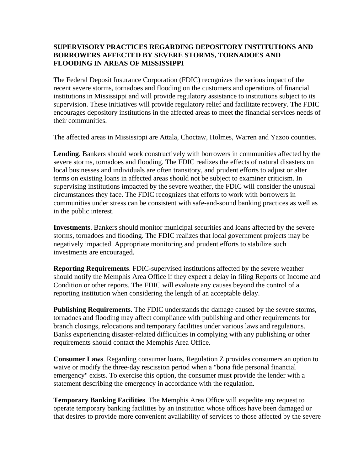## **SUPERVISORY PRACTICES REGARDING DEPOSITORY INSTITUTIONS AND BORROWERS AFFECTED BY SEVERE STORMS, TORNADOES AND FLOODING IN AREAS OF MISSISSIPPI**

The Federal Deposit Insurance Corporation (FDIC) recognizes the serious impact of the recent severe storms, tornadoes and flooding on the customers and operations of financial institutions in Mississippi and will provide regulatory assistance to institutions subject to its supervision. These initiatives will provide regulatory relief and facilitate recovery. The FDIC encourages depository institutions in the affected areas to meet the financial services needs of their communities.

The affected areas in Mississippi are Attala, Choctaw, Holmes, Warren and Yazoo counties.

**Lending**. Bankers should work constructively with borrowers in communities affected by the severe storms, tornadoes and flooding. The FDIC realizes the effects of natural disasters on local businesses and individuals are often transitory, and prudent efforts to adjust or alter terms on existing loans in affected areas should not be subject to examiner criticism. In supervising institutions impacted by the severe weather, the FDIC will consider the unusual circumstances they face. The FDIC recognizes that efforts to work with borrowers in communities under stress can be consistent with safe-and-sound banking practices as well as in the public interest.

**Investments**. Bankers should monitor municipal securities and loans affected by the severe storms, tornadoes and flooding. The FDIC realizes that local government projects may be negatively impacted. Appropriate monitoring and prudent efforts to stabilize such investments are encouraged.

**Reporting Requirements**. FDIC-supervised institutions affected by the severe weather should notify the Memphis Area Office if they expect a delay in filing Reports of Income and Condition or other reports. The FDIC will evaluate any causes beyond the control of a reporting institution when considering the length of an acceptable delay.

**Publishing Requirements**. The FDIC understands the damage caused by the severe storms, tornadoes and flooding may affect compliance with publishing and other requirements for branch closings, relocations and temporary facilities under various laws and regulations. Banks experiencing disaster-related difficulties in complying with any publishing or other requirements should contact the Memphis Area Office.

**Consumer Laws**. Regarding consumer loans, Regulation Z provides consumers an option to waive or modify the three-day rescission period when a "bona fide personal financial emergency" exists. To exercise this option, the consumer must provide the lender with a statement describing the emergency in accordance with the regulation.

**Temporary Banking Facilities**. The Memphis Area Office will expedite any request to operate temporary banking facilities by an institution whose offices have been damaged or that desires to provide more convenient availability of services to those affected by the severe